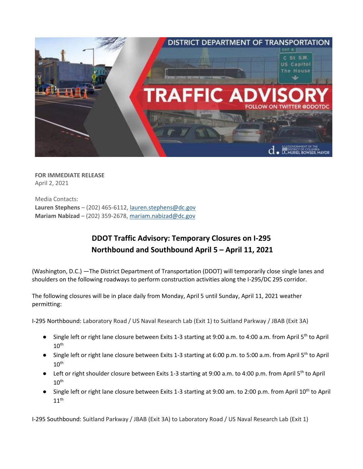

**FOR IMMEDIATE RELEASE** April 2, 2021

Media Contacts: **Lauren Stephens** – (202) 465-6112, [lauren.stephens@dc.gov](mailto:lauren.stephens@dc.gov) **Mariam Nabizad** – (202) 359-2678, [mariam.nabizad@dc.gov](mailto:mariam.nabizad@dc.gov)

## **DDOT Traffic Advisory: Temporary Closures on I-295 Northbound and Southbound April 5 – April 11, 2021**

(Washington, D.C.) —The District Department of Transportation (DDOT) will temporarily close single lanes and shoulders on the following roadways to perform construction activities along the I-295/DC 295 corridor.

The following closures will be in place daily from Monday, April 5 until Sunday, April 11, 2021 weather permitting:

I-295 Northbound: Laboratory Road / US Naval Research Lab (Exit 1) to Suitland Parkway / JBAB (Exit 3A)

- Single left or right lane closure between Exits 1-3 starting at 9:00 a.m. to 4:00 a.m. from April 5<sup>th</sup> to April  $10<sup>th</sup>$
- Single left or right lane closure between Exits 1-3 starting at 6:00 p.m. to 5:00 a.m. from April 5<sup>th</sup> to April  $10^{\sf th}$
- Left or right shoulder closure between Exits 1-3 starting at 9:00 a.m. to 4:00 p.m. from April 5<sup>th</sup> to April  $10^{\sf th}$
- Single left or right lane closure between Exits 1-3 starting at 9:00 am. to 2:00 p.m. from April 10<sup>th</sup> to April  $11<sup>th</sup>$

I-295 Southbound: Suitland Parkway / JBAB (Exit 3A) to Laboratory Road / US Naval Research Lab (Exit 1)